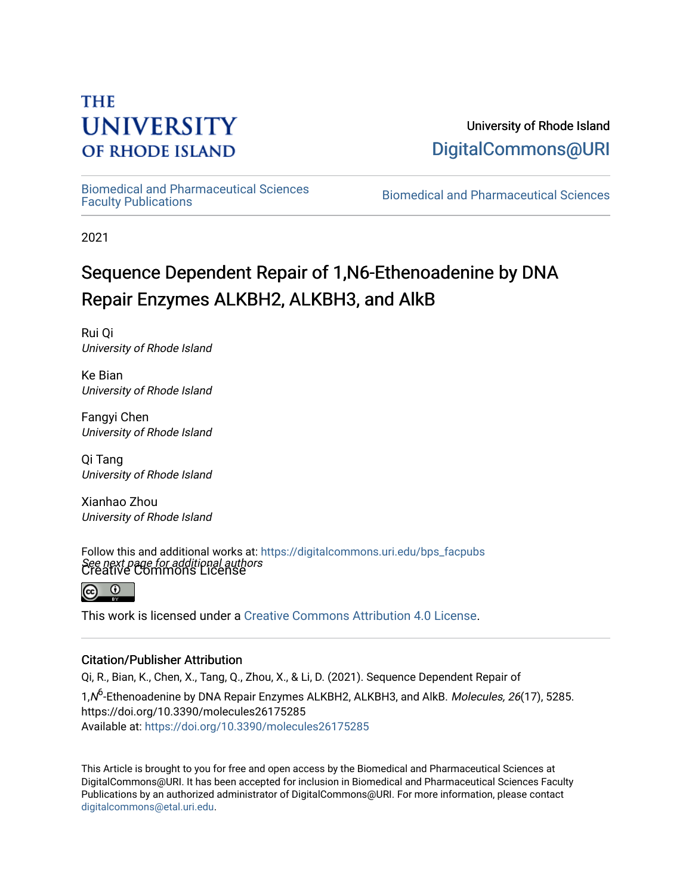## **THE UNIVERSITY OF RHODE ISLAND**

University of Rhode Island [DigitalCommons@URI](https://digitalcommons.uri.edu/) 

[Biomedical and Pharmaceutical Sciences](https://digitalcommons.uri.edu/bps_facpubs) 

Biomedical and Pharmaceutical Sciences

2021

# Sequence Dependent Repair of 1,N6-Ethenoadenine by DNA Repair Enzymes ALKBH2, ALKBH3, and AlkB

Rui Qi University of Rhode Island

Ke Bian University of Rhode Island

Fangyi Chen University of Rhode Island

Qi Tang University of Rhode Island

Xianhao Zhou University of Rhode Island

See next page for additional authors Creative Commons License Follow this and additional works at: [https://digitalcommons.uri.edu/bps\\_facpubs](https://digitalcommons.uri.edu/bps_facpubs?utm_source=digitalcommons.uri.edu%2Fbps_facpubs%2F230&utm_medium=PDF&utm_campaign=PDFCoverPages)



This work is licensed under a [Creative Commons Attribution 4.0 License](https://creativecommons.org/licenses/by/4.0/).

## Citation/Publisher Attribution

Qi, R., Bian, K., Chen, X., Tang, Q., Zhou, X., & Li, D. (2021). Sequence Dependent Repair of

1, N<sup>6</sup>-Ethenoadenine by DNA Repair Enzymes ALKBH2, ALKBH3, and AlkB. *Molecules, 26*(17), 5285. https://doi.org/10.3390/molecules26175285 Available at:<https://doi.org/10.3390/molecules26175285>

This Article is brought to you for free and open access by the Biomedical and Pharmaceutical Sciences at DigitalCommons@URI. It has been accepted for inclusion in Biomedical and Pharmaceutical Sciences Faculty Publications by an authorized administrator of DigitalCommons@URI. For more information, please contact [digitalcommons@etal.uri.edu](mailto:digitalcommons@etal.uri.edu).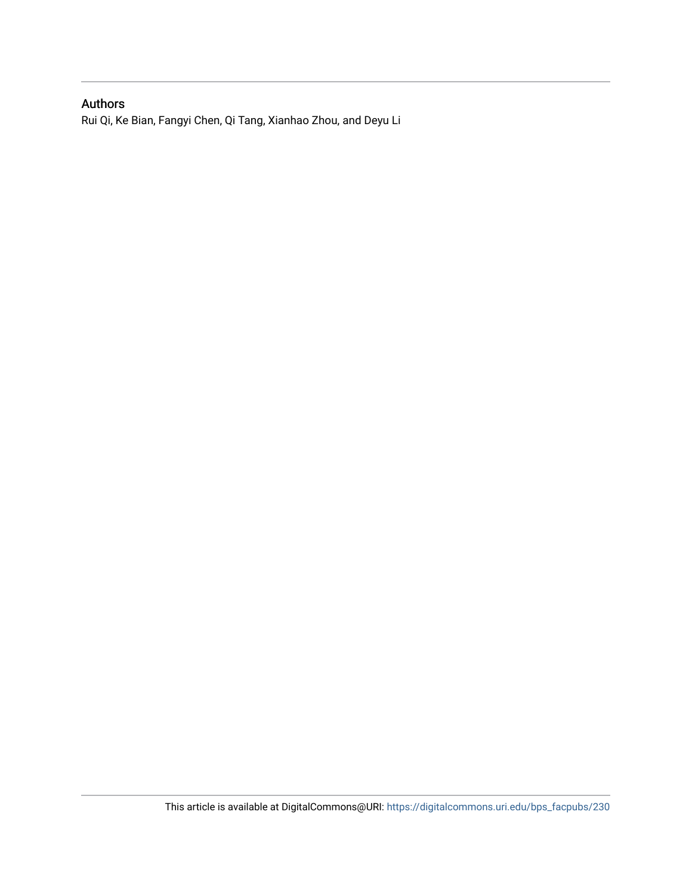## Authors

Rui Qi, Ke Bian, Fangyi Chen, Qi Tang, Xianhao Zhou, and Deyu Li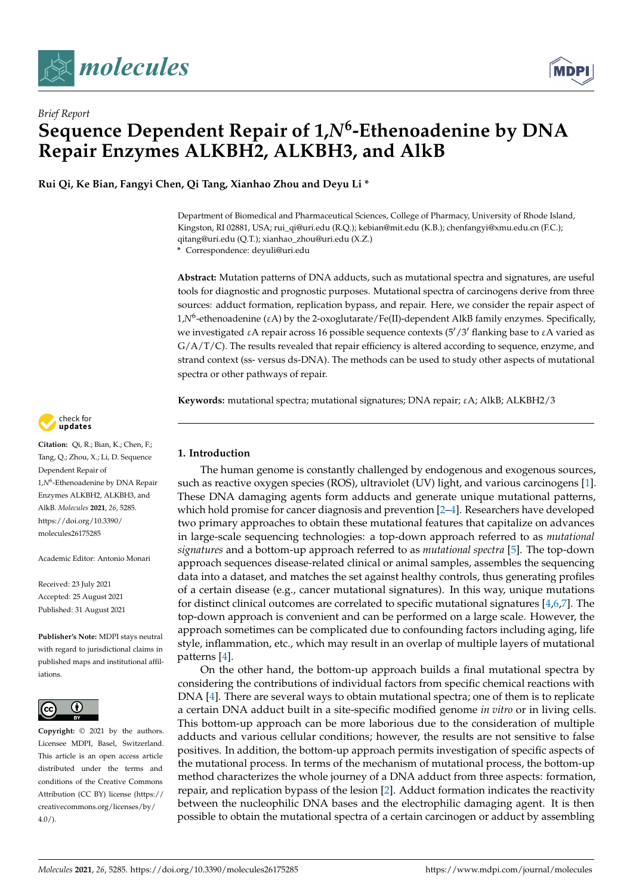





**Rui Qi, Ke Bian, Fangyi Chen, Qi Tang, Xianhao Zhou and Deyu Li \***

Department of Biomedical and Pharmaceutical Sciences, College of Pharmacy, University of Rhode Island, Kingston, RI 02881, USA; rui\_qi@uri.edu (R.Q.); kebian@mit.edu (K.B.); chenfangyi@xmu.edu.cn (F.C.); qitang@uri.edu (Q.T.); xianhao\_zhou@uri.edu (X.Z.) **\*** Correspondence: deyuli@uri.edu

**Abstract:** Mutation patterns of DNA adducts, such as mutational spectra and signatures, are useful tools for diagnostic and prognostic purposes. Mutational spectra of carcinogens derive from three sources: adduct formation, replication bypass, and repair. Here, we consider the repair aspect of 1,*N*<sup>6</sup> -ethenoadenine (εA) by the 2-oxoglutarate/Fe(II)-dependent AlkB family enzymes. Specifically, we investigated  $\epsilon A$  repair across 16 possible sequence contexts (5'/3' flanking base to  $\epsilon A$  varied as  $G/A/T/C$ ). The results revealed that repair efficiency is altered according to sequence, enzyme, and strand context (ss- versus ds-DNA). The methods can be used to study other aspects of mutational spectra or other pathways of repair.

**Keywords:** mutational spectra; mutational signatures; DNA repair; εA; AlkB; ALKBH2/3

### **1. Introduction**

The human genome is constantly challenged by endogenous and exogenous sources, such as reactive oxygen species (ROS), ultraviolet (UV) light, and various carcinogens [\[1\]](#page-7-0). These DNA damaging agents form adducts and generate unique mutational patterns, which hold promise for cancer diagnosis and prevention [\[2–](#page-7-1)[4\]](#page-7-2). Researchers have developed two primary approaches to obtain these mutational features that capitalize on advances in large-scale sequencing technologies: a top-down approach referred to as *mutational signatures* and a bottom-up approach referred to as *mutational spectra* [\[5\]](#page-7-3). The top-down approach sequences disease-related clinical or animal samples, assembles the sequencing data into a dataset, and matches the set against healthy controls, thus generating profiles of a certain disease (e.g., cancer mutational signatures). In this way, unique mutations for distinct clinical outcomes are correlated to specific mutational signatures [\[4](#page-7-2)[,6](#page-7-4)[,7\]](#page-7-5). The top-down approach is convenient and can be performed on a large scale. However, the approach sometimes can be complicated due to confounding factors including aging, life style, inflammation, etc., which may result in an overlap of multiple layers of mutational patterns [\[4\]](#page-7-2).

On the other hand, the bottom-up approach builds a final mutational spectra by considering the contributions of individual factors from specific chemical reactions with DNA [\[4\]](#page-7-2). There are several ways to obtain mutational spectra; one of them is to replicate a certain DNA adduct built in a site-specific modified genome *in vitro* or in living cells. This bottom-up approach can be more laborious due to the consideration of multiple adducts and various cellular conditions; however, the results are not sensitive to false positives. In addition, the bottom-up approach permits investigation of specific aspects of the mutational process. In terms of the mechanism of mutational process, the bottom-up method characterizes the whole journey of a DNA adduct from three aspects: formation, repair, and replication bypass of the lesion [\[2\]](#page-7-1). Adduct formation indicates the reactivity between the nucleophilic DNA bases and the electrophilic damaging agent. It is then possible to obtain the mutational spectra of a certain carcinogen or adduct by assembling



**Citation:** Qi, R.; Bian, K.; Chen, F.; Tang, Q.; Zhou, X.; Li, D. Sequence Dependent Repair of 1,*N*<sup>6</sup> -Ethenoadenine by DNA Repair Enzymes ALKBH2, ALKBH3, and AlkB. *Molecules* **2021**, *26*, 5285. [https://doi.org/10.3390/](https://doi.org/10.3390/molecules26175285) [molecules26175285](https://doi.org/10.3390/molecules26175285)

Academic Editor: Antonio Monari

Received: 23 July 2021 Accepted: 25 August 2021 Published: 31 August 2021

**Publisher's Note:** MDPI stays neutral with regard to jurisdictional claims in published maps and institutional affiliations.



**Copyright:** © 2021 by the authors. Licensee MDPI, Basel, Switzerland. This article is an open access article distributed under the terms and conditions of the Creative Commons Attribution (CC BY) license (https:/[/](https://creativecommons.org/licenses/by/4.0/) [creativecommons.org/licenses/by/](https://creativecommons.org/licenses/by/4.0/)  $4.0/$ ).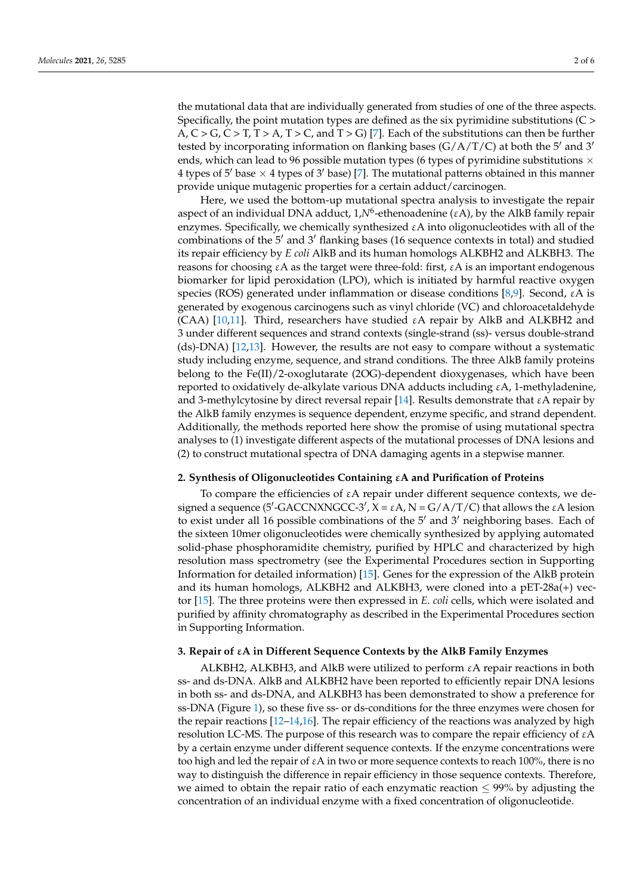the mutational data that are individually generated from studies of one of the three aspects. Specifically, the point mutation types are defined as the six pyrimidine substitutions (C >  $A, C > G, C > T, T > A, T > C$ , and  $T > G$  [\[7\]](#page-7-5). Each of the substitutions can then be further tested by incorporating information on flanking bases  $(G/A/T/C)$  at both the 5<sup>'</sup> and 3<sup>'</sup> ends, which can lead to 96 possible mutation types (6 types of pyrimidine substitutions  $\times$ 4 types of 5<sup> $\prime$ </sup> base  $\times$  4 types of 3 $\prime$  base) [\[7\]](#page-7-5). The mutational patterns obtained in this manner provide unique mutagenic properties for a certain adduct/carcinogen.

Here, we used the bottom-up mutational spectra analysis to investigate the repair aspect of an individual DNA adduct, 1, N<sup>6</sup>-ethenoadenine (εA), by the AlkB family repair enzymes. Specifically, we chemically synthesized  $\varepsilon A$  into oligonucleotides with all of the combinations of the  $5'$  and  $3'$  flanking bases (16 sequence contexts in total) and studied its repair efficiency by *E coli* AlkB and its human homologs ALKBH2 and ALKBH3. The reasons for choosing  $\epsilon A$  as the target were three-fold: first,  $\epsilon A$  is an important endogenous biomarker for lipid peroxidation (LPO), which is initiated by harmful reactive oxygen species (ROS) generated under inflammation or disease conditions [\[8](#page-7-6)[,9\]](#page-7-7). Second,  $\epsilon A$  is generated by exogenous carcinogens such as vinyl chloride (VC) and chloroacetaldehyde (CAA) [\[10](#page-7-8)[,11\]](#page-7-9). Third, researchers have studied  $\epsilon A$  repair by AlkB and ALKBH2 and 3 under different sequences and strand contexts (single-strand (ss)- versus double-strand (ds)-DNA) [\[12](#page-7-10)[,13\]](#page-7-11). However, the results are not easy to compare without a systematic study including enzyme, sequence, and strand conditions. The three AlkB family proteins belong to the Fe(II)/2-oxoglutarate (2OG)-dependent dioxygenases, which have been reported to oxidatively de-alkylate various DNA adducts including  $ε$ A, 1-methyladenine, and 3-methylcytosine by direct reversal repair [\[14\]](#page-7-12). Results demonstrate that εA repair by the AlkB family enzymes is sequence dependent, enzyme specific, and strand dependent. Additionally, the methods reported here show the promise of using mutational spectra analyses to (1) investigate different aspects of the mutational processes of DNA lesions and (2) to construct mutational spectra of DNA damaging agents in a stepwise manner.

#### **2. Synthesis of Oligonucleotides Containing** ε**A and Purification of Proteins**

To compare the efficiencies of εA repair under different sequence contexts, we designed a sequence (5'-GACCNXNGCC-3',  $\hat{X} = \varepsilon A$ , N = G/A/T/C) that allows the  $\varepsilon A$  lesion to exist under all 16 possible combinations of the  $5'$  and  $3'$  neighboring bases. Each of the sixteen 10mer oligonucleotides were chemically synthesized by applying automated solid-phase phosphoramidite chemistry, purified by HPLC and characterized by high resolution mass spectrometry (see the Experimental Procedures section in Supporting Information for detailed information) [\[15\]](#page-7-13). Genes for the expression of the AlkB protein and its human homologs, ALKBH2 and ALKBH3, were cloned into a pET-28a(+) vector [\[15\]](#page-7-13). The three proteins were then expressed in *E. coli* cells, which were isolated and purified by affinity chromatography as described in the Experimental Procedures section in Supporting Information.

#### **3. Repair of** ε**A in Different Sequence Contexts by the AlkB Family Enzymes**

ALKBH2, ALKBH3, and AlkB were utilized to perform εA repair reactions in both ss- and ds-DNA. AlkB and ALKBH2 have been reported to efficiently repair DNA lesions in both ss- and ds-DNA, and ALKBH3 has been demonstrated to show a preference for ss-DNA (Figure [1\)](#page-4-0), so these five ss- or ds-conditions for the three enzymes were chosen for the repair reactions  $[12-14,16]$  $[12-14,16]$  $[12-14,16]$ . The repair efficiency of the reactions was analyzed by high resolution LC-MS. The purpose of this research was to compare the repair efficiency of εA by a certain enzyme under different sequence contexts. If the enzyme concentrations were too high and led the repair of εA in two or more sequence contexts to reach 100%, there is no way to distinguish the difference in repair efficiency in those sequence contexts. Therefore, we aimed to obtain the repair ratio of each enzymatic reaction  $\leq$  99% by adjusting the concentration of an individual enzyme with a fixed concentration of oligonucleotide.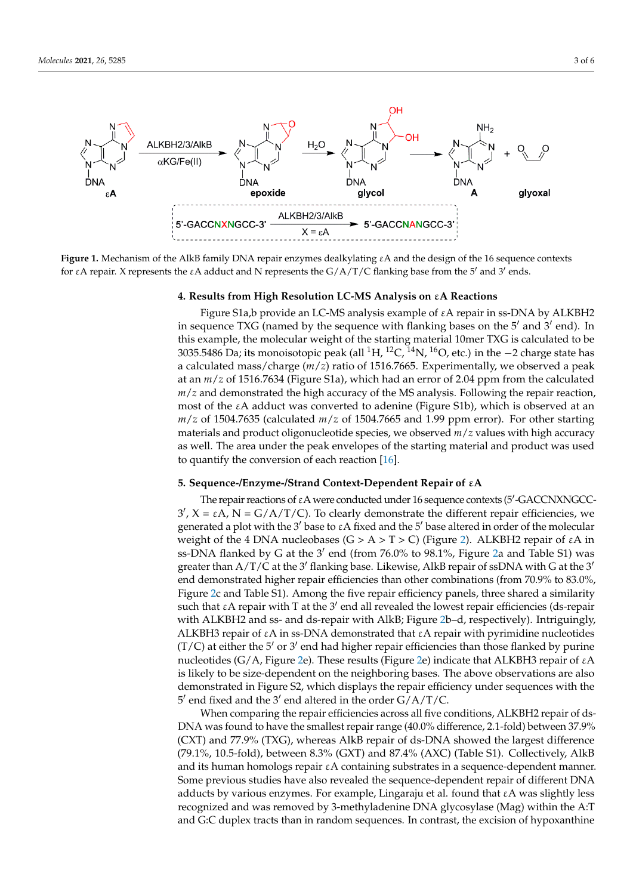<span id="page-4-0"></span>

Figure 1. Mechanism of the AlkB family DNA repair enzymes dealkylating  $\epsilon A$  and the design of the 16 sequence contexts for εA repair. X represents the εA adduct and N represents the  $G/A/T/C$  flanking base from the 5' and 3' ends.

## 4. Results from High Resolution LC-MS Analysis on  $\epsilon$ A Reactions

Figure S1a,b provide an LC-MS analysis example of εA repair in ss-DNA by ALKBH2 in sequence TXG (named by the sequence with flanking bases on the 5' and 3' end). In this example, the molecular weight of the starting material 10mer TXG is calculated to be 3035.5486 Da; its monoisotopic peak (all <sup>1</sup>H, <sup>12</sup>C, <sup>14</sup>N, <sup>16</sup>O, etc.) in the −2 charge state has a calculated mass/charge ( $m/z$ ) ratio of 1516.7665. Experimentally, we observed a peak at an  $m/z$  of 1516.7634 (Figure S1a), which had an error of 2.04 ppm from the calculated *m*/*z* and demonstrated the high accuracy of the MS analysis. Following the repair reaction, most of the εA adduct was converted to adenine (Figure S1b), which is observed at an at an m/z of 1504.7635 (calculated m/z of 1504.7665 and 1.99 ppm error). For other starting *m*/*z* of 1504.7635 (calculated *m*/*z* of 1504.7665 and 1.99 ppm error). For other starting materials and product oligonucleotide species, we observed  $m/z$  values with high accuracy as well. The area under the peak envelopes of the starting material and product was used to quantify the conversion of each rea[ctio](#page-7-14)n  $[16]$ .

ing the concentration of an individual enzyme with a fixed concentration of oligonucleo

## **5. Sequence‐/Enzyme‐/Strand Context‐Dependent Repair of εA 5. Sequence-/Enzyme-/Strand Context-Dependent Repair of** ε**A**

The repair reactions of  $\varepsilon A$  were conducted under 16 sequence contexts (5'-GACCNXNGCC-3', X = εA, N = G/A/T/C). To clearly demonstrate the different repair efficiencies, we generated a plot with the 3<sup>'</sup> base to  $\varepsilon$ A fixed and the 5<sup>'</sup> base altered in order of the molecular weight of the 4 DNA nucleobases (G > A > T > C) (Figure [2\)](#page-5-0). ALKBH2 repair of  $\varepsilon$ A in ss-DNA flanked by G at the 3<sup>'</sup> end (from 76.0% to 98.1%, Figure [2a](#page-5-0) and Table S1) was greater than A/T/C at the 3<sup>'</sup> flanking base. Likewise, AlkB repair of ssDNA with G at the 3<sup>'</sup> end demonstrated higher repair efficiencies than other combinations (from 70.9% to 83.0%, Figure [2c](#page-5-0) and Table S1). Among the five repair efficiency panels, three shared a similarity such that  $\epsilon$ A repair with T at the 3<sup>'</sup> end all revealed the lowest repair efficiencies (ds-repair with ALKBH2 and ss- and ds-repair with AlkB; Figure [2b](#page-5-0)–d, respectively). Intriguingly, ALKBH3 repair of εA in ss-DNA demonstrated that εA repair with pyrimidine nucleotides tides (T/C) at either the 5′ or 3′ end had higher repair efficiencies than those flanked by nucleotides (G/A, Figure [2e](#page-5-0)). These results (Figure [2e](#page-5-0)) indicate that ALKBH3 repair of εA is likely to be size-dependent on the neighboring bases. The above observations are also  $\alpha$  is likely to be size at the neighboring bases. The above observations are neighboring bases of  $\alpha$ demonstrated in Figure S2, which displays the repair efficiency under sequences with the  $\frac{1}{2}$  and fixed and the 2' and altered in the arder C/A/T/C  $(T/C)$  at either the  $5'$  or  $3'$  end had higher repair efficiencies than those flanked by purine  $5'$  end fixed and the  $3'$  end altered in the order  $G/A/T/C$ .

when comparing the repair efficiencies across all five conditions, ALKBH2 repair of ds-DNA was found to have the smallest repair range (40.0% difference, 2.1-fold) between 37.9% design and to have the smallest repair range (40.0% difference, 2.1–1.0%) between the largest difference (CXT) and 77.9% (TXG), whereas AlkB repair of ds-DNA showed the largest difference (79.1%, 10.5-fold), between 8.3% (GXT) and 87.4% (AXC) (Table S1). Collectively, AlkB and its human homologs repair εA containing substrates in a sequence-dependent manner. Some previous studies have also revealed the sequence-dependent repair of different DNA adducts by various enzymes. For example, Lingaraju et al. found that  $\epsilon A$  was slightly less recognized and was removed by 3-methyladenine DNA glycosylase (Mag) within the A:T and G:C duplex tracts than in random sequences. In contrast, the excision of hypoxanthine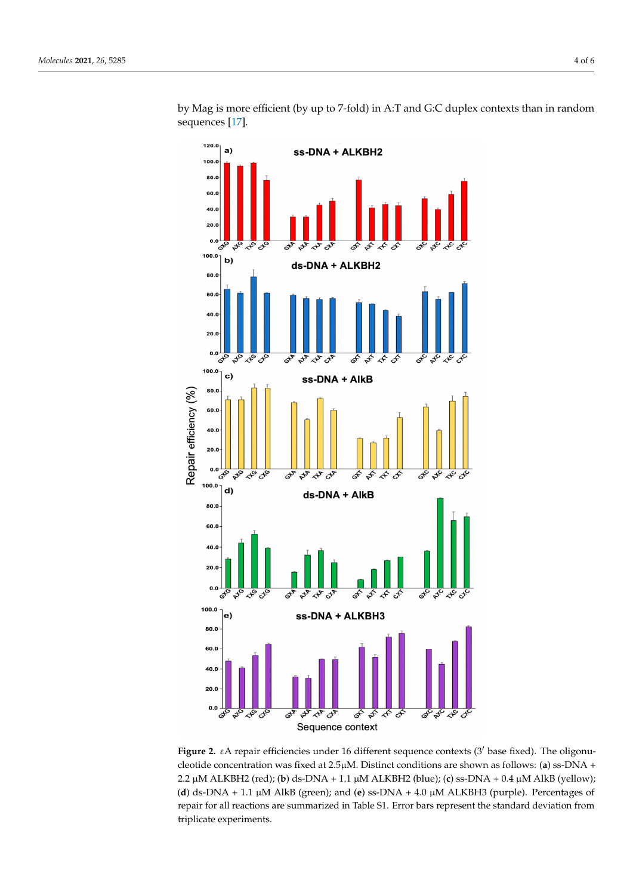<span id="page-5-0"></span>

by Mag is more efficient (by up to 7-fold) in A:T and G:C duplex contexts than in random sequences [\[17\]](#page-7-15).

Figure **2.** experimental sequences under 16 different sequence contexts (3° base fixed). The oligonucle cleotide concentration was fixed at 2.5μM. Distinct conditions are shown as follows: (**a**) ss-DNA + μM ALKBH2 (red); (**b**) ds‐DNA + 1.1 μM ALKBH2 (blue); (**c**) ss‐DNA + 0.4 μM AlkB (yellow); (**d**) 2.2 µM ALKBH2 (red); (**b**) ds-DNA + 1.1 µM ALKBH2 (blue); (**c**) ss-DNA + 0.4 µM AlkB (yellow); ds‐DNA + 1.1 μM AlkB (green); and (**e**) ss‐DNA + 4.0 μM ALKBH3 (purple). Percentages of repair (**d**) ds-DNA + 1.1 µM AlkB (green); and (**e**) ss-DNA + 4.0 µM ALKBH3 (purple). Percentages of for all reactions are summarized in Table S1. Error bars represent the standard deviation from repair for all reactions are summarized in Table S1. Error bars represent the standard deviation from triplicate experiments. triplicate experiments.**Figure 2.** εA repair efficiencies under 16 different sequence contexts (3' base fixed). The oligonu-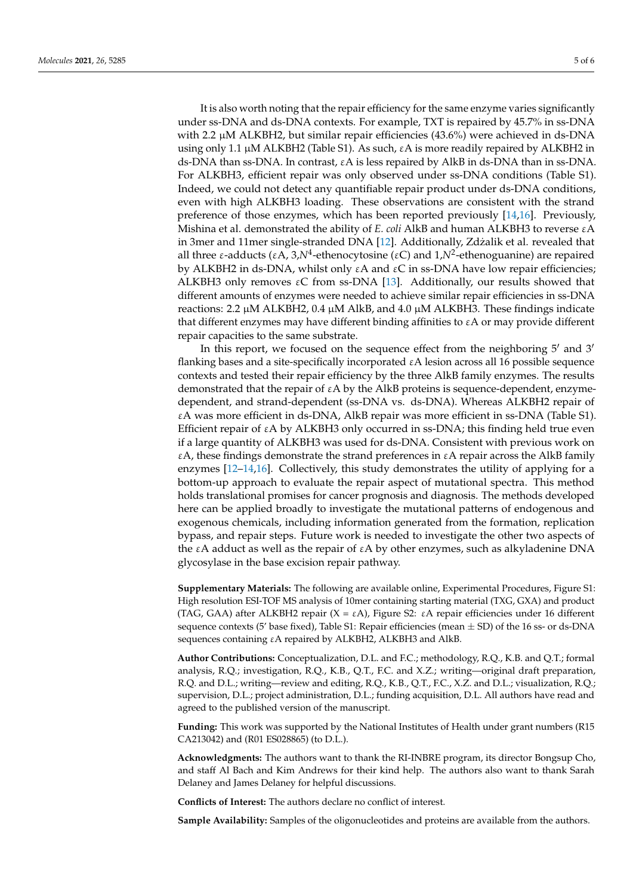It is also worth noting that the repair efficiency for the same enzyme varies significantly under ss-DNA and ds-DNA contexts. For example, TXT is repaired by 45.7% in ss-DNA with 2.2  $\mu$ M ALKBH2, but similar repair efficiencies (43.6%) were achieved in ds-DNA using only 1.1  $\mu$ M ALKBH2 (Table S1). As such,  $\epsilon$ A is more readily repaired by ALKBH2 in ds-DNA than ss-DNA. In contrast,  $\epsilon A$  is less repaired by AlkB in ds-DNA than in ss-DNA. For ALKBH3, efficient repair was only observed under ss-DNA conditions (Table S1). Indeed, we could not detect any quantifiable repair product under ds-DNA conditions, even with high ALKBH3 loading. These observations are consistent with the strand preference of those enzymes, which has been reported previously [\[14,](#page-7-12)[16\]](#page-7-14). Previously, Mishina et al. demonstrated the ability of *E. coli* AlkB and human ALKBH3 to reverse εA in 3mer and 11mer single-stranded DNA [\[12\]](#page-7-10). Additionally, Zdżalik et al. revealed that all three ε-adducts (εA, 3,*N*<sup>4</sup>-ethenocytosine (εC) and 1,*N*<sup>2</sup>-ethenoguanine) are repaired by ALKBH2 in ds-DNA, whilst only  $\varepsilon A$  and  $\varepsilon C$  in ss-DNA have low repair efficiencies; ALKBH3 only removes  $\epsilon C$  from ss-DNA [\[13\]](#page-7-11). Additionally, our results showed that different amounts of enzymes were needed to achieve similar repair efficiencies in ss-DNA reactions: 2.2  $\mu$ M ALKBH2, 0.4  $\mu$ M AlkB, and 4.0  $\mu$ M ALKBH3. These findings indicate that different enzymes may have different binding affinities to  $\epsilon A$  or may provide different repair capacities to the same substrate.

In this report, we focused on the sequence effect from the neighboring  $5'$  and  $3'$ flanking bases and a site-specifically incorporated εA lesion across all 16 possible sequence contexts and tested their repair efficiency by the three AlkB family enzymes. The results demonstrated that the repair of  $\epsilon A$  by the AlkB proteins is sequence-dependent, enzymedependent, and strand-dependent (ss-DNA vs. ds-DNA). Whereas ALKBH2 repair of εA was more efficient in ds-DNA, AlkB repair was more efficient in ss-DNA (Table S1). Efficient repair of  $\epsilon A$  by ALKBH3 only occurred in ss-DNA; this finding held true even if a large quantity of ALKBH3 was used for ds-DNA. Consistent with previous work on  $\epsilon$ A, these findings demonstrate the strand preferences in  $\epsilon$ A repair across the AlkB family enzymes [\[12–](#page-7-10)[14,](#page-7-12)[16\]](#page-7-14). Collectively, this study demonstrates the utility of applying for a bottom-up approach to evaluate the repair aspect of mutational spectra. This method holds translational promises for cancer prognosis and diagnosis. The methods developed here can be applied broadly to investigate the mutational patterns of endogenous and exogenous chemicals, including information generated from the formation, replication bypass, and repair steps. Future work is needed to investigate the other two aspects of the εA adduct as well as the repair of εA by other enzymes, such as alkyladenine DNA glycosylase in the base excision repair pathway.

**Supplementary Materials:** The following are available online, Experimental Procedures, Figure S1: High resolution ESI-TOF MS analysis of 10mer containing starting material (TXG, GXA) and product (TAG, GAA) after ALKBH2 repair (X = εA), Figure S2: εA repair efficiencies under 16 different sequence contexts (5' base fixed), Table S1: Repair efficiencies (mean  $\pm$  SD) of the 16 ss- or ds-DNA sequences containing εA repaired by ALKBH2, ALKBH3 and AlkB.

**Author Contributions:** Conceptualization, D.L. and F.C.; methodology, R.Q., K.B. and Q.T.; formal analysis, R.Q.; investigation, R.Q., K.B., Q.T., F.C. and X.Z.; writing—original draft preparation, R.Q. and D.L.; writing—review and editing, R.Q., K.B., Q.T., F.C., X.Z. and D.L.; visualization, R.Q.; supervision, D.L.; project administration, D.L.; funding acquisition, D.L. All authors have read and agreed to the published version of the manuscript.

**Funding:** This work was supported by the National Institutes of Health under grant numbers (R15 CA213042) and (R01 ES028865) (to D.L.).

**Acknowledgments:** The authors want to thank the RI-INBRE program, its director Bongsup Cho, and staff Al Bach and Kim Andrews for their kind help. The authors also want to thank Sarah Delaney and James Delaney for helpful discussions.

**Conflicts of Interest:** The authors declare no conflict of interest.

**Sample Availability:** Samples of the oligonucleotides and proteins are available from the authors.